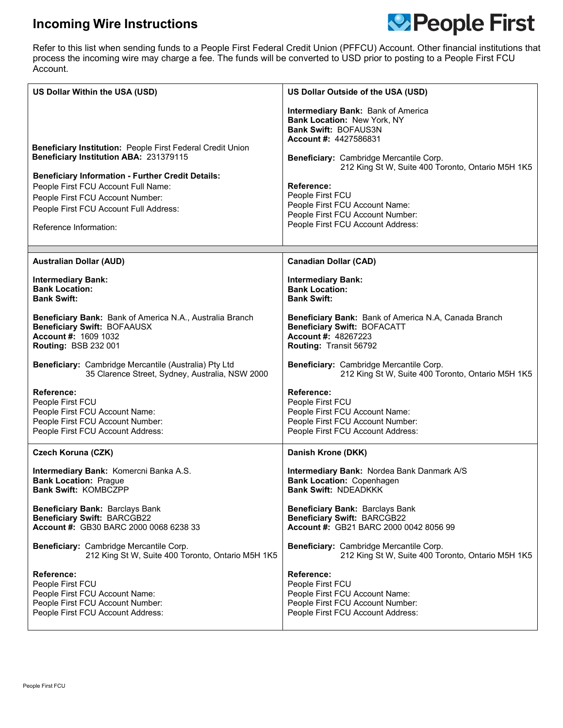## **Incoming Wire Instructions**



Refer to this list when sending funds to a People First Federal Credit Union (PFFCU) Account. Other financial institutions that process the incoming wire may charge a fee. The funds will be converted to USD prior to posting to a People First FCU Account.

| US Dollar Within the USA (USD)                                                                                                                                                                                                                                                                                  | US Dollar Outside of the USA (USD)                                                                                                                                                                                                                                                                                                                                                          |
|-----------------------------------------------------------------------------------------------------------------------------------------------------------------------------------------------------------------------------------------------------------------------------------------------------------------|---------------------------------------------------------------------------------------------------------------------------------------------------------------------------------------------------------------------------------------------------------------------------------------------------------------------------------------------------------------------------------------------|
| Beneficiary Institution: People First Federal Credit Union<br>Beneficiary Institution ABA: 231379115<br><b>Beneficiary Information - Further Credit Details:</b><br>People First FCU Account Full Name:<br>People First FCU Account Number:<br>People First FCU Account Full Address:<br>Reference Information: | <b>Intermediary Bank: Bank of America</b><br>Bank Location: New York, NY<br><b>Bank Swift: BOFAUS3N</b><br><b>Account #: 4427586831</b><br>Beneficiary: Cambridge Mercantile Corp.<br>212 King St W, Suite 400 Toronto, Ontario M5H 1K5<br><b>Reference:</b><br>People First FCU<br>People First FCU Account Name:<br>People First FCU Account Number:<br>People First FCU Account Address: |
| <b>Australian Dollar (AUD)</b>                                                                                                                                                                                                                                                                                  | <b>Canadian Dollar (CAD)</b>                                                                                                                                                                                                                                                                                                                                                                |
| <b>Intermediary Bank:</b>                                                                                                                                                                                                                                                                                       | <b>Intermediary Bank:</b>                                                                                                                                                                                                                                                                                                                                                                   |
| <b>Bank Location:</b>                                                                                                                                                                                                                                                                                           | <b>Bank Location:</b>                                                                                                                                                                                                                                                                                                                                                                       |
| <b>Bank Swift:</b>                                                                                                                                                                                                                                                                                              | <b>Bank Swift:</b>                                                                                                                                                                                                                                                                                                                                                                          |
| Beneficiary Bank: Bank of America N.A., Australia Branch                                                                                                                                                                                                                                                        | Beneficiary Bank: Bank of America N.A, Canada Branch                                                                                                                                                                                                                                                                                                                                        |
| <b>Beneficiary Swift: BOFAAUSX</b>                                                                                                                                                                                                                                                                              | <b>Beneficiary Swift: BOFACATT</b>                                                                                                                                                                                                                                                                                                                                                          |
| Account #: 1609 1032                                                                                                                                                                                                                                                                                            | <b>Account #: 48267223</b>                                                                                                                                                                                                                                                                                                                                                                  |
| <b>Routing: BSB 232 001</b>                                                                                                                                                                                                                                                                                     | Routing: Transit 56792                                                                                                                                                                                                                                                                                                                                                                      |
| Beneficiary: Cambridge Mercantile (Australia) Pty Ltd                                                                                                                                                                                                                                                           | Beneficiary: Cambridge Mercantile Corp.                                                                                                                                                                                                                                                                                                                                                     |
| 35 Clarence Street, Sydney, Australia, NSW 2000                                                                                                                                                                                                                                                                 | 212 King St W, Suite 400 Toronto, Ontario M5H 1K5                                                                                                                                                                                                                                                                                                                                           |
| Reference:                                                                                                                                                                                                                                                                                                      | <b>Reference:</b>                                                                                                                                                                                                                                                                                                                                                                           |
| People First FCU                                                                                                                                                                                                                                                                                                | People First FCU                                                                                                                                                                                                                                                                                                                                                                            |
| People First FCU Account Name:                                                                                                                                                                                                                                                                                  | People First FCU Account Name:                                                                                                                                                                                                                                                                                                                                                              |
| People First FCU Account Number:                                                                                                                                                                                                                                                                                | People First FCU Account Number:                                                                                                                                                                                                                                                                                                                                                            |
| People First FCU Account Address:                                                                                                                                                                                                                                                                               | People First FCU Account Address:                                                                                                                                                                                                                                                                                                                                                           |
| Czech Koruna (CZK)                                                                                                                                                                                                                                                                                              | Danish Krone (DKK)                                                                                                                                                                                                                                                                                                                                                                          |
| Intermediary Bank: Komercni Banka A.S.                                                                                                                                                                                                                                                                          | Intermediary Bank: Nordea Bank Danmark A/S                                                                                                                                                                                                                                                                                                                                                  |
| <b>Bank Location: Prague</b>                                                                                                                                                                                                                                                                                    | <b>Bank Location: Copenhagen</b>                                                                                                                                                                                                                                                                                                                                                            |
| Bank Swift: KOMBCZPP                                                                                                                                                                                                                                                                                            | Bank Swift: NDEADKKK                                                                                                                                                                                                                                                                                                                                                                        |
| <b>Beneficiary Bank: Barclays Bank</b>                                                                                                                                                                                                                                                                          | Beneficiary Bank: Barclays Bank                                                                                                                                                                                                                                                                                                                                                             |
| <b>Beneficiary Swift: BARCGB22</b>                                                                                                                                                                                                                                                                              | <b>Beneficiary Swift: BARCGB22</b>                                                                                                                                                                                                                                                                                                                                                          |
| Account #: GB30 BARC 2000 0068 6238 33                                                                                                                                                                                                                                                                          | Account #: GB21 BARC 2000 0042 8056 99                                                                                                                                                                                                                                                                                                                                                      |
| Beneficiary: Cambridge Mercantile Corp.                                                                                                                                                                                                                                                                         | Beneficiary: Cambridge Mercantile Corp.                                                                                                                                                                                                                                                                                                                                                     |
| 212 King St W, Suite 400 Toronto, Ontario M5H 1K5                                                                                                                                                                                                                                                               | 212 King St W, Suite 400 Toronto, Ontario M5H 1K5                                                                                                                                                                                                                                                                                                                                           |
| Reference:                                                                                                                                                                                                                                                                                                      | Reference:                                                                                                                                                                                                                                                                                                                                                                                  |
| People First FCU                                                                                                                                                                                                                                                                                                | People First FCU                                                                                                                                                                                                                                                                                                                                                                            |
| People First FCU Account Name:                                                                                                                                                                                                                                                                                  | People First FCU Account Name:                                                                                                                                                                                                                                                                                                                                                              |
| People First FCU Account Number:                                                                                                                                                                                                                                                                                | People First FCU Account Number:                                                                                                                                                                                                                                                                                                                                                            |
| People First FCU Account Address:                                                                                                                                                                                                                                                                               | People First FCU Account Address:                                                                                                                                                                                                                                                                                                                                                           |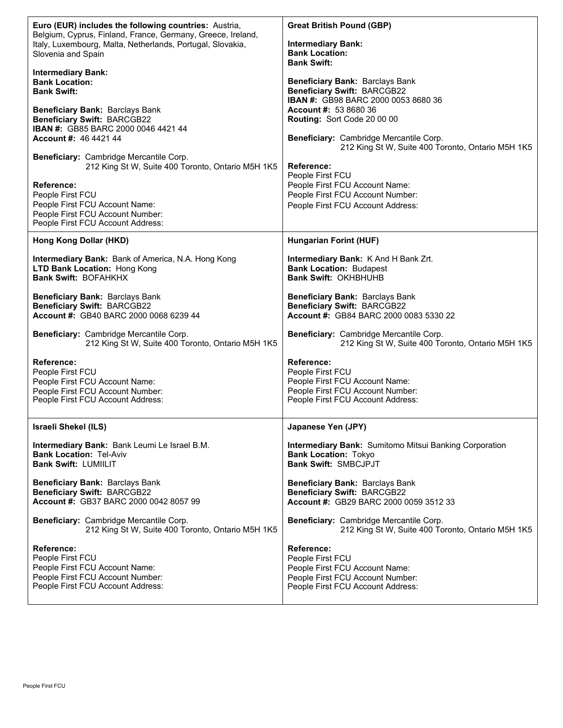| Euro (EUR) includes the following countries: Austria,<br>Belgium, Cyprus, Finland, France, Germany, Greece, Ireland,<br>Italy, Luxembourg, Malta, Netherlands, Portugal, Slovakia,<br>Slovenia and Spain<br><b>Intermediary Bank:</b><br><b>Bank Location:</b><br><b>Bank Swift:</b><br>Beneficiary Bank: Barclays Bank<br><b>Beneficiary Swift: BARCGB22</b><br>IBAN #: GB85 BARC 2000 0046 4421 44<br><b>Account #: 46 4421 44</b><br>Beneficiary: Cambridge Mercantile Corp.<br>212 King St W, Suite 400 Toronto, Ontario M5H 1K5<br>Reference:<br>People First FCU<br>People First FCU Account Name:<br>People First FCU Account Number:<br>People First FCU Account Address: | <b>Great British Pound (GBP)</b><br><b>Intermediary Bank:</b><br><b>Bank Location:</b><br><b>Bank Swift:</b><br>Beneficiary Bank: Barclays Bank<br><b>Beneficiary Swift: BARCGB22</b><br><b>IBAN #: GB98 BARC 2000 0053 8680 36</b><br>Account #: 53 8680 36<br>Routing: Sort Code 20 00 00<br>Beneficiary: Cambridge Mercantile Corp.<br>212 King St W, Suite 400 Toronto, Ontario M5H 1K5<br><b>Reference:</b><br>People First FCU<br>People First FCU Account Name:<br>People First FCU Account Number:<br>People First FCU Account Address: |
|-----------------------------------------------------------------------------------------------------------------------------------------------------------------------------------------------------------------------------------------------------------------------------------------------------------------------------------------------------------------------------------------------------------------------------------------------------------------------------------------------------------------------------------------------------------------------------------------------------------------------------------------------------------------------------------|-------------------------------------------------------------------------------------------------------------------------------------------------------------------------------------------------------------------------------------------------------------------------------------------------------------------------------------------------------------------------------------------------------------------------------------------------------------------------------------------------------------------------------------------------|
| Hong Kong Dollar (HKD)                                                                                                                                                                                                                                                                                                                                                                                                                                                                                                                                                                                                                                                            | <b>Hungarian Forint (HUF)</b>                                                                                                                                                                                                                                                                                                                                                                                                                                                                                                                   |
| Intermediary Bank: Bank of America, N.A. Hong Kong                                                                                                                                                                                                                                                                                                                                                                                                                                                                                                                                                                                                                                | Intermediary Bank: K And H Bank Zrt.                                                                                                                                                                                                                                                                                                                                                                                                                                                                                                            |
| LTD Bank Location: Hong Kong                                                                                                                                                                                                                                                                                                                                                                                                                                                                                                                                                                                                                                                      | <b>Bank Location: Budapest</b>                                                                                                                                                                                                                                                                                                                                                                                                                                                                                                                  |
| <b>Bank Swift: BOFAHKHX</b>                                                                                                                                                                                                                                                                                                                                                                                                                                                                                                                                                                                                                                                       | <b>Bank Swift: OKHBHUHB</b>                                                                                                                                                                                                                                                                                                                                                                                                                                                                                                                     |
| Beneficiary Bank: Barclays Bank                                                                                                                                                                                                                                                                                                                                                                                                                                                                                                                                                                                                                                                   | Beneficiary Bank: Barclays Bank                                                                                                                                                                                                                                                                                                                                                                                                                                                                                                                 |
| <b>Beneficiary Swift: BARCGB22</b>                                                                                                                                                                                                                                                                                                                                                                                                                                                                                                                                                                                                                                                | <b>Beneficiary Swift: BARCGB22</b>                                                                                                                                                                                                                                                                                                                                                                                                                                                                                                              |
| Account #: GB40 BARC 2000 0068 6239 44                                                                                                                                                                                                                                                                                                                                                                                                                                                                                                                                                                                                                                            | Account #: GB84 BARC 2000 0083 5330 22                                                                                                                                                                                                                                                                                                                                                                                                                                                                                                          |
| Beneficiary: Cambridge Mercantile Corp.                                                                                                                                                                                                                                                                                                                                                                                                                                                                                                                                                                                                                                           | Beneficiary: Cambridge Mercantile Corp.                                                                                                                                                                                                                                                                                                                                                                                                                                                                                                         |
| 212 King St W, Suite 400 Toronto, Ontario M5H 1K5                                                                                                                                                                                                                                                                                                                                                                                                                                                                                                                                                                                                                                 | 212 King St W, Suite 400 Toronto, Ontario M5H 1K5                                                                                                                                                                                                                                                                                                                                                                                                                                                                                               |
| <b>Reference:</b>                                                                                                                                                                                                                                                                                                                                                                                                                                                                                                                                                                                                                                                                 | Reference:                                                                                                                                                                                                                                                                                                                                                                                                                                                                                                                                      |
| People First FCU                                                                                                                                                                                                                                                                                                                                                                                                                                                                                                                                                                                                                                                                  | People First FCU                                                                                                                                                                                                                                                                                                                                                                                                                                                                                                                                |
| People First FCU Account Name:                                                                                                                                                                                                                                                                                                                                                                                                                                                                                                                                                                                                                                                    | People First FCU Account Name:                                                                                                                                                                                                                                                                                                                                                                                                                                                                                                                  |
| People First FCU Account Number:                                                                                                                                                                                                                                                                                                                                                                                                                                                                                                                                                                                                                                                  | People First FCU Account Number:                                                                                                                                                                                                                                                                                                                                                                                                                                                                                                                |
| People First FCU Account Address:                                                                                                                                                                                                                                                                                                                                                                                                                                                                                                                                                                                                                                                 | People First FCU Account Address:                                                                                                                                                                                                                                                                                                                                                                                                                                                                                                               |
| <b>Israeli Shekel (ILS)</b>                                                                                                                                                                                                                                                                                                                                                                                                                                                                                                                                                                                                                                                       | Japanese Yen (JPY)                                                                                                                                                                                                                                                                                                                                                                                                                                                                                                                              |
| Intermediary Bank: Bank Leumi Le Israel B.M.                                                                                                                                                                                                                                                                                                                                                                                                                                                                                                                                                                                                                                      | <b>Intermediary Bank:</b> Sumitomo Mitsui Banking Corporation                                                                                                                                                                                                                                                                                                                                                                                                                                                                                   |
| <b>Bank Location: Tel-Aviv</b>                                                                                                                                                                                                                                                                                                                                                                                                                                                                                                                                                                                                                                                    | <b>Bank Location: Tokyo</b>                                                                                                                                                                                                                                                                                                                                                                                                                                                                                                                     |
| <b>Bank Swift: LUMIILIT</b>                                                                                                                                                                                                                                                                                                                                                                                                                                                                                                                                                                                                                                                       | <b>Bank Swift: SMBCJPJT</b>                                                                                                                                                                                                                                                                                                                                                                                                                                                                                                                     |
| Beneficiary Bank: Barclays Bank                                                                                                                                                                                                                                                                                                                                                                                                                                                                                                                                                                                                                                                   | Beneficiary Bank: Barclays Bank                                                                                                                                                                                                                                                                                                                                                                                                                                                                                                                 |
| <b>Beneficiary Swift: BARCGB22</b>                                                                                                                                                                                                                                                                                                                                                                                                                                                                                                                                                                                                                                                | <b>Beneficiary Swift: BARCGB22</b>                                                                                                                                                                                                                                                                                                                                                                                                                                                                                                              |
| Account #: GB37 BARC 2000 0042 8057 99                                                                                                                                                                                                                                                                                                                                                                                                                                                                                                                                                                                                                                            | Account #: GB29 BARC 2000 0059 3512 33                                                                                                                                                                                                                                                                                                                                                                                                                                                                                                          |
| Beneficiary: Cambridge Mercantile Corp.                                                                                                                                                                                                                                                                                                                                                                                                                                                                                                                                                                                                                                           | Beneficiary: Cambridge Mercantile Corp.                                                                                                                                                                                                                                                                                                                                                                                                                                                                                                         |
| 212 King St W, Suite 400 Toronto, Ontario M5H 1K5                                                                                                                                                                                                                                                                                                                                                                                                                                                                                                                                                                                                                                 | 212 King St W, Suite 400 Toronto, Ontario M5H 1K5                                                                                                                                                                                                                                                                                                                                                                                                                                                                                               |
| <b>Reference:</b>                                                                                                                                                                                                                                                                                                                                                                                                                                                                                                                                                                                                                                                                 | Reference:                                                                                                                                                                                                                                                                                                                                                                                                                                                                                                                                      |
| People First FCU                                                                                                                                                                                                                                                                                                                                                                                                                                                                                                                                                                                                                                                                  | People First FCU                                                                                                                                                                                                                                                                                                                                                                                                                                                                                                                                |
| People First FCU Account Name:                                                                                                                                                                                                                                                                                                                                                                                                                                                                                                                                                                                                                                                    | People First FCU Account Name:                                                                                                                                                                                                                                                                                                                                                                                                                                                                                                                  |
| People First FCU Account Number:                                                                                                                                                                                                                                                                                                                                                                                                                                                                                                                                                                                                                                                  | People First FCU Account Number:                                                                                                                                                                                                                                                                                                                                                                                                                                                                                                                |
| People First FCU Account Address:                                                                                                                                                                                                                                                                                                                                                                                                                                                                                                                                                                                                                                                 | People First FCU Account Address:                                                                                                                                                                                                                                                                                                                                                                                                                                                                                                               |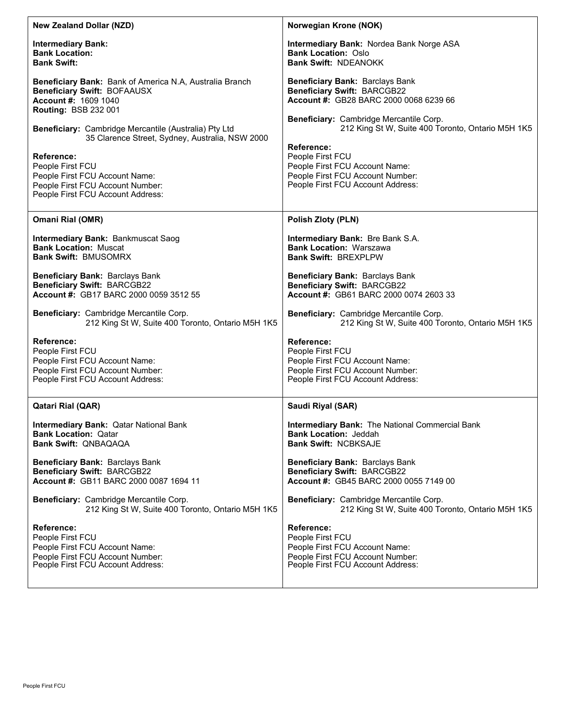| <b>New Zealand Dollar (NZD)</b>                                                                                                                                                                                                                                                                                                                                                                        | Norwegian Krone (NOK)                                                                                                                                                                                                                                                                                                                                               |
|--------------------------------------------------------------------------------------------------------------------------------------------------------------------------------------------------------------------------------------------------------------------------------------------------------------------------------------------------------------------------------------------------------|---------------------------------------------------------------------------------------------------------------------------------------------------------------------------------------------------------------------------------------------------------------------------------------------------------------------------------------------------------------------|
| <b>Intermediary Bank:</b>                                                                                                                                                                                                                                                                                                                                                                              | <b>Intermediary Bank: Nordea Bank Norge ASA</b>                                                                                                                                                                                                                                                                                                                     |
| <b>Bank Location:</b>                                                                                                                                                                                                                                                                                                                                                                                  | <b>Bank Location: Oslo</b>                                                                                                                                                                                                                                                                                                                                          |
| <b>Bank Swift:</b>                                                                                                                                                                                                                                                                                                                                                                                     | <b>Bank Swift: NDEANOKK</b>                                                                                                                                                                                                                                                                                                                                         |
| Beneficiary Bank: Bank of America N.A, Australia Branch<br>Beneficiary Swift: BOFAAUSX<br>Account #: 1609 1040<br>Routing: BSB 232 001<br>Beneficiary: Cambridge Mercantile (Australia) Pty Ltd<br>35 Clarence Street, Sydney, Australia, NSW 2000<br><b>Reference:</b><br>People First FCU<br>People First FCU Account Name:<br>People First FCU Account Number:<br>People First FCU Account Address: | <b>Beneficiary Bank: Barclays Bank</b><br><b>Beneficiary Swift: BARCGB22</b><br>Account #: GB28 BARC 2000 0068 6239 66<br>Beneficiary: Cambridge Mercantile Corp.<br>212 King St W, Suite 400 Toronto, Ontario M5H 1K5<br>Reference:<br>People First FCU<br>People First FCU Account Name:<br>People First FCU Account Number:<br>People First FCU Account Address: |
| Omani Rial (OMR)                                                                                                                                                                                                                                                                                                                                                                                       | Polish Zloty (PLN)                                                                                                                                                                                                                                                                                                                                                  |
| <b>Intermediary Bank: Bankmuscat Saog</b>                                                                                                                                                                                                                                                                                                                                                              | <b>Intermediary Bank: Bre Bank S.A.</b>                                                                                                                                                                                                                                                                                                                             |
| <b>Bank Location: Muscat</b>                                                                                                                                                                                                                                                                                                                                                                           | <b>Bank Location: Warszawa</b>                                                                                                                                                                                                                                                                                                                                      |
| <b>Bank Swift: BMUSOMRX</b>                                                                                                                                                                                                                                                                                                                                                                            | <b>Bank Swift: BREXPLPW</b>                                                                                                                                                                                                                                                                                                                                         |
| Beneficiary Bank: Barclays Bank                                                                                                                                                                                                                                                                                                                                                                        | <b>Beneficiary Bank: Barclays Bank</b>                                                                                                                                                                                                                                                                                                                              |
| <b>Beneficiary Swift: BARCGB22</b>                                                                                                                                                                                                                                                                                                                                                                     | <b>Beneficiary Swift: BARCGB22</b>                                                                                                                                                                                                                                                                                                                                  |
| Account #: GB17 BARC 2000 0059 3512 55                                                                                                                                                                                                                                                                                                                                                                 | Account #: GB61 BARC 2000 0074 2603 33                                                                                                                                                                                                                                                                                                                              |
| Beneficiary: Cambridge Mercantile Corp.                                                                                                                                                                                                                                                                                                                                                                | Beneficiary: Cambridge Mercantile Corp.                                                                                                                                                                                                                                                                                                                             |
| 212 King St W, Suite 400 Toronto, Ontario M5H 1K5                                                                                                                                                                                                                                                                                                                                                      | 212 King St W, Suite 400 Toronto, Ontario M5H 1K5                                                                                                                                                                                                                                                                                                                   |
| <b>Reference:</b>                                                                                                                                                                                                                                                                                                                                                                                      | Reference:                                                                                                                                                                                                                                                                                                                                                          |
| People First FCU                                                                                                                                                                                                                                                                                                                                                                                       | People First FCU                                                                                                                                                                                                                                                                                                                                                    |
| People First FCU Account Name:                                                                                                                                                                                                                                                                                                                                                                         | People First FCU Account Name:                                                                                                                                                                                                                                                                                                                                      |
| People First FCU Account Number:                                                                                                                                                                                                                                                                                                                                                                       | People First FCU Account Number:                                                                                                                                                                                                                                                                                                                                    |
| People First FCU Account Address:                                                                                                                                                                                                                                                                                                                                                                      | People First FCU Account Address:                                                                                                                                                                                                                                                                                                                                   |
| <b>Qatari Rial (QAR)</b>                                                                                                                                                                                                                                                                                                                                                                               | Saudi Riyal (SAR)                                                                                                                                                                                                                                                                                                                                                   |
| <b>Intermediary Bank: Qatar National Bank</b>                                                                                                                                                                                                                                                                                                                                                          | Intermediary Bank: The National Commercial Bank                                                                                                                                                                                                                                                                                                                     |
| <b>Bank Location: Qatar</b>                                                                                                                                                                                                                                                                                                                                                                            | <b>Bank Location: Jeddah</b>                                                                                                                                                                                                                                                                                                                                        |
| <b>Bank Swift: QNBAQAQA</b>                                                                                                                                                                                                                                                                                                                                                                            | <b>Bank Swift: NCBKSAJF</b>                                                                                                                                                                                                                                                                                                                                         |
| Beneficiary Bank: Barclays Bank                                                                                                                                                                                                                                                                                                                                                                        | Beneficiary Bank: Barclays Bank                                                                                                                                                                                                                                                                                                                                     |
| <b>Beneficiary Swift: BARCGB22</b>                                                                                                                                                                                                                                                                                                                                                                     | <b>Beneficiary Swift: BARCGB22</b>                                                                                                                                                                                                                                                                                                                                  |
| Account #: GB11 BARC 2000 0087 1694 11                                                                                                                                                                                                                                                                                                                                                                 | Account #: GB45 BARC 2000 0055 7149 00                                                                                                                                                                                                                                                                                                                              |
| Beneficiary: Cambridge Mercantile Corp.                                                                                                                                                                                                                                                                                                                                                                | Beneficiary: Cambridge Mercantile Corp.                                                                                                                                                                                                                                                                                                                             |
| 212 King St W, Suite 400 Toronto, Ontario M5H 1K5                                                                                                                                                                                                                                                                                                                                                      | 212 King St W, Suite 400 Toronto, Ontario M5H 1K5                                                                                                                                                                                                                                                                                                                   |
| Reference:                                                                                                                                                                                                                                                                                                                                                                                             | Reference:                                                                                                                                                                                                                                                                                                                                                          |
| People First FCU                                                                                                                                                                                                                                                                                                                                                                                       | People First FCU                                                                                                                                                                                                                                                                                                                                                    |
| People First FCU Account Name:                                                                                                                                                                                                                                                                                                                                                                         | People First FCU Account Name:                                                                                                                                                                                                                                                                                                                                      |
| People First FCU Account Number:                                                                                                                                                                                                                                                                                                                                                                       | People First FCU Account Number:                                                                                                                                                                                                                                                                                                                                    |
| People First FCU Account Address:                                                                                                                                                                                                                                                                                                                                                                      | People First FCU Account Address:                                                                                                                                                                                                                                                                                                                                   |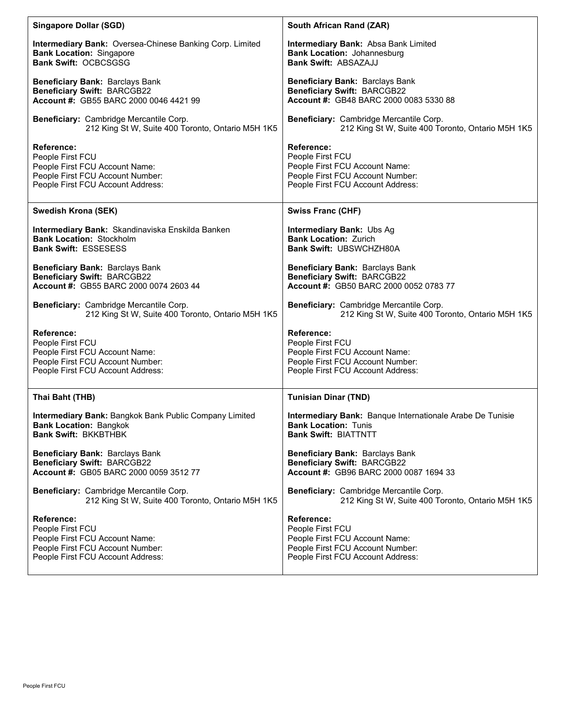| <b>Singapore Dollar (SGD)</b>                            | South African Rand (ZAR)                                  |
|----------------------------------------------------------|-----------------------------------------------------------|
| Intermediary Bank: Oversea-Chinese Banking Corp. Limited | Intermediary Bank: Absa Bank Limited                      |
| <b>Bank Location: Singapore</b>                          | <b>Bank Location: Johannesburg</b>                        |
| <b>Bank Swift: OCBCSGSG</b>                              | <b>Bank Swift: ABSAZAJJ</b>                               |
| Beneficiary Bank: Barclays Bank                          | Beneficiary Bank: Barclays Bank                           |
| <b>Beneficiary Swift: BARCGB22</b>                       | <b>Beneficiary Swift: BARCGB22</b>                        |
| Account #: GB55 BARC 2000 0046 4421 99                   | Account #: GB48 BARC 2000 0083 5330 88                    |
| Beneficiary: Cambridge Mercantile Corp.                  | Beneficiary: Cambridge Mercantile Corp.                   |
| 212 King St W, Suite 400 Toronto, Ontario M5H 1K5        | 212 King St W, Suite 400 Toronto, Ontario M5H 1K5         |
| <b>Reference:</b>                                        | Reference:                                                |
| People First FCU                                         | People First FCU                                          |
| People First FCU Account Name:                           | People First FCU Account Name:                            |
| People First FCU Account Number:                         | People First FCU Account Number:                          |
| People First FCU Account Address:                        | People First FCU Account Address:                         |
| Swedish Krona (SEK)                                      | <b>Swiss Franc (CHF)</b>                                  |
| Intermediary Bank: Skandinaviska Enskilda Banken         | Intermediary Bank: Ubs Ag                                 |
| <b>Bank Location: Stockholm</b>                          | <b>Bank Location: Zurich</b>                              |
| <b>Bank Swift: ESSESESS</b>                              | <b>Bank Swift: UBSWCHZH80A</b>                            |
| Beneficiary Bank: Barclays Bank                          | <b>Beneficiary Bank: Barclays Bank</b>                    |
| <b>Beneficiary Swift: BARCGB22</b>                       | <b>Beneficiary Swift: BARCGB22</b>                        |
| Account #: GB55 BARC 2000 0074 2603 44                   | Account #: GB50 BARC 2000 0052 0783 77                    |
| Beneficiary: Cambridge Mercantile Corp.                  | <b>Beneficiary: Cambridge Mercantile Corp.</b>            |
| 212 King St W, Suite 400 Toronto, Ontario M5H 1K5        | 212 King St W, Suite 400 Toronto, Ontario M5H 1K5         |
| Reference:                                               | <b>Reference:</b>                                         |
| People First FCU                                         | People First FCU                                          |
| People First FCU Account Name:                           | People First FCU Account Name:                            |
| People First FCU Account Number:                         | People First FCU Account Number:                          |
| People First FCU Account Address:                        | People First FCU Account Address:                         |
| Thai Baht (THB)                                          | <b>Tunisian Dinar (TND)</b>                               |
| Intermediary Bank: Bangkok Bank Public Company Limited   | Intermediary Bank: Banque Internationale Arabe De Tunisie |
| <b>Bank Location: Bangkok</b>                            | <b>Bank Location: Tunis</b>                               |
| <b>Bank Swift: BKKBTHBK</b>                              | <b>Bank Swift: BIATTNTT</b>                               |
| Beneficiary Bank: Barclays Bank                          | Beneficiary Bank: Barclays Bank                           |
| <b>Beneficiary Swift: BARCGB22</b>                       | <b>Beneficiary Swift: BARCGB22</b>                        |
| Account #: GB05 BARC 2000 0059 3512 77                   | Account #: GB96 BARC 2000 0087 1694 33                    |
| Beneficiary: Cambridge Mercantile Corp.                  | Beneficiary: Cambridge Mercantile Corp.                   |
| 212 King St W, Suite 400 Toronto, Ontario M5H 1K5        | 212 King St W, Suite 400 Toronto, Ontario M5H 1K5         |
| Reference:                                               | Reference:                                                |
| People First FCU                                         | People First FCU                                          |
| People First FCU Account Name:                           | People First FCU Account Name:                            |
| People First FCU Account Number:                         | People First FCU Account Number:                          |
| People First FCU Account Address:                        | People First FCU Account Address:                         |